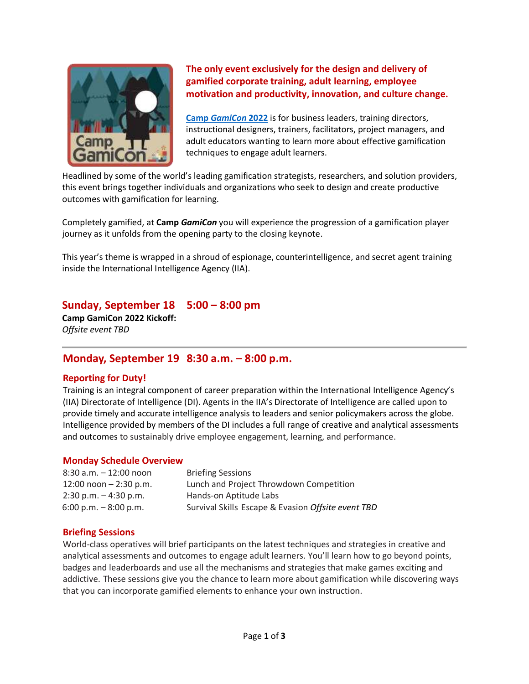

**The only event exclusively for the design and delivery of gamified corporate training, adult learning, employee motivation and productivity, innovation, and culture change.**

**Camp** *[GamiCon](https://gamicon.us/)* **2022** is for business leaders, training directors, instructional designers, trainers, facilitators, project managers, and adult educators wanting to learn more about effective gamification techniques to engage adult learners.

Headlined by some of the world's leading gamification strategists, researchers, and solution providers, this event brings together individuals and organizations who seek to design and create productive outcomes with gamification for learning.

Completely gamified, at **Camp** *GamiCon* you will experience the progression of a gamification player journey as it unfolds from the opening party to the closing keynote.

This year's theme is wrapped in a shroud of espionage, counterintelligence, and secret agent training inside the International Intelligence Agency (IIA).

# **Sunday, September 18 5:00 – 8:00 pm**

**Camp GamiCon 2022 Kickoff:**  *Offsite event TBD*

# **Monday, September 19 8:30 a.m. – 8:00 p.m.**

### **Reporting for Duty!**

Training is an integral component of career preparation within the International Intelligence Agency's (IIA) Directorate of Intelligence (DI). Agents in the IIA's Directorate of Intelligence are called upon to provide timely and accurate intelligence analysis to leaders and senior policymakers across the globe. Intelligence provided by members of the DI includes a full range of creative and analytical assessments and outcomes to sustainably drive employee engagement, learning, and performance.

### **Monday Schedule Overview**

| $8:30$ a.m. $-12:00$ noon | <b>Briefing Sessions</b>                           |
|---------------------------|----------------------------------------------------|
| $12:00$ noon $-2:30$ p.m. | Lunch and Project Throwdown Competition            |
| $2:30$ p.m. $-4:30$ p.m.  | Hands-on Aptitude Labs                             |
| $6:00$ p.m. $-8:00$ p.m.  | Survival Skills Escape & Evasion Offsite event TBD |

### **Briefing Sessions**

World-class operatives will brief participants on the latest techniques and strategies in creative and analytical assessments and outcomes to engage adult learners. You'll learn how to go beyond points, badges and leaderboards and use all the mechanisms and strategies that make games exciting and addictive. These sessions give you the chance to learn more about gamification while discovering ways that you can incorporate gamified elements to enhance your own instruction.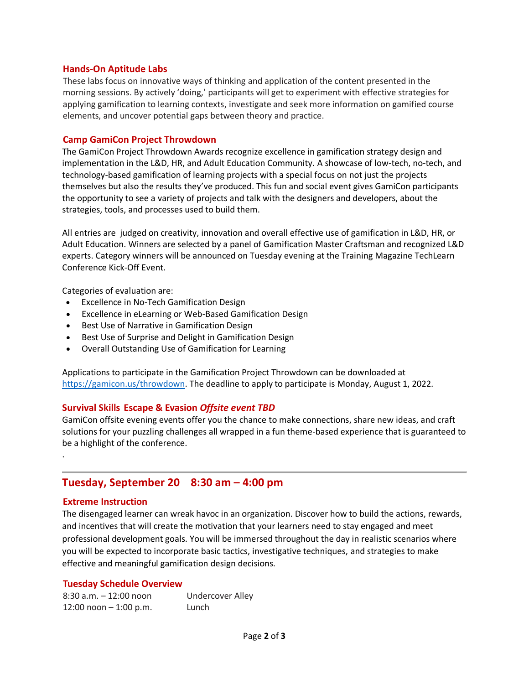### **Hands-On Aptitude Labs**

These labs focus on innovative ways of thinking and application of the content presented in the morning sessions. By actively 'doing,' participants will get to experiment with effective strategies for applying gamification to learning contexts, investigate and seek more information on gamified course elements, and uncover potential gaps between theory and practice.

### **Camp GamiCon Project Throwdown**

The GamiCon Project Throwdown Awards recognize excellence in gamification strategy design and implementation in the L&D, HR, and Adult Education Community. A showcase of low-tech, no-tech, and technology-based gamification of learning projects with a special focus on not just the projects themselves but also the results they've produced. This fun and social event gives GamiCon participants the opportunity to see a variety of projects and talk with the designers and developers, about the strategies, tools, and processes used to build them.

All entries are judged on creativity, innovation and overall effective use of gamification in L&D, HR, or Adult Education. Winners are selected by a panel of Gamification Master Craftsman and recognized L&D experts. Category winners will be announced on Tuesday evening at the Training Magazine TechLearn Conference Kick-Off Event.

Categories of evaluation are:

- Excellence in No-Tech Gamification Design
- Excellence in eLearning or Web-Based Gamification Design
- Best Use of Narrative in Gamification Design
- Best Use of Surprise and Delight in Gamification Design
- Overall Outstanding Use of Gamification for Learning

Applications to participate in the Gamification Project Throwdown can be downloaded at [https://gamicon.us/throwdown.](https://gamicon.us/throwdown) The deadline to apply to participate is Monday, August 1, 2022.

### **Survival Skills Escape & Evasion** *Offsite event TBD*

GamiCon offsite evening events offer you the chance to make connections, share new ideas, and craft solutions for your puzzling challenges all wrapped in a fun theme-based experience that is guaranteed to be a highlight of the conference.

# **Tuesday, September 20 8:30 am – 4:00 pm**

### **Extreme Instruction**

.

The disengaged learner can wreak havoc in an organization. Discover how to build the actions, rewards, and incentives that will create the motivation that your learners need to stay engaged and meet professional development goals. You will be immersed throughout the day in realistic scenarios where you will be expected to incorporate basic tactics, investigative techniques, and strategies to make effective and meaningful gamification design decisions.

### **Tuesday Schedule Overview**

| $8:30$ a.m. $-12:00$ noon | <b>Undercover Alley</b> |
|---------------------------|-------------------------|
| 12:00 noon $-$ 1:00 p.m.  | Lunch                   |